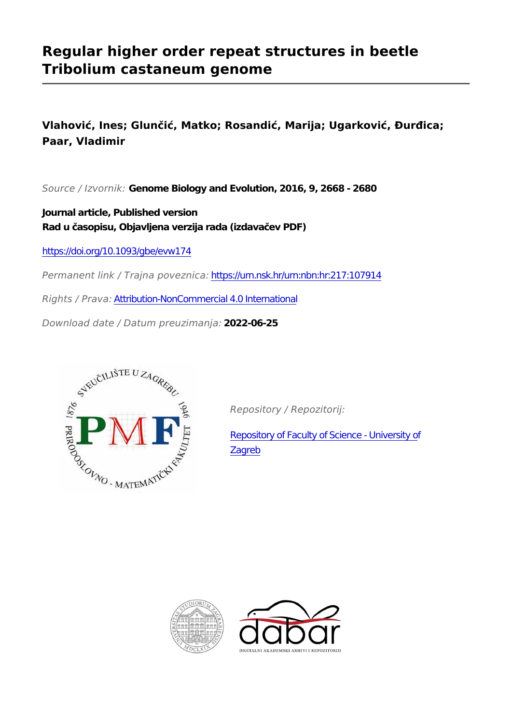# **Regular higher order repeat structures in beetle Tribolium castaneum genome**

**Vlahović, Ines; Glunčić, Matko; Rosandić, Marija; Ugarković, Đurđica; Paar, Vladimir**

*Source / Izvornik:* **Genome Biology and Evolution, 2016, 9, 2668 - 2680**

**Journal article, Published version Rad u časopisu, Objavljena verzija rada (izdavačev PDF)**

<https://doi.org/10.1093/gbe/evw174>

*Permanent link / Trajna poveznica:* <https://urn.nsk.hr/urn:nbn:hr:217:107914>

*Rights / Prava:* [Attribution-NonCommercial 4.0 International](http://creativecommons.org/licenses/by-nc/4.0/)

*Download date / Datum preuzimanja:* **2022-06-25**



*Repository / Repozitorij:*

[Repository of Faculty of Science - University of](https://repozitorij.pmf.unizg.hr) [Zagreb](https://repozitorij.pmf.unizg.hr)



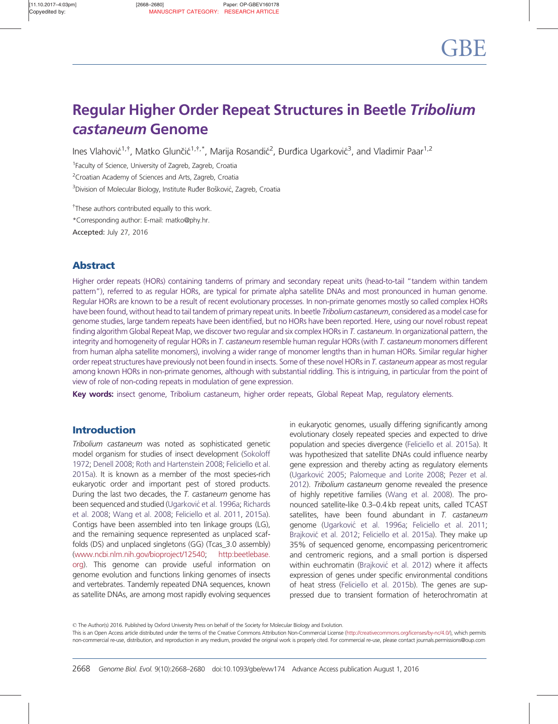# Regular Higher Order Repeat Structures in Beetle Tribolium castaneum Genome

Ines Vlahović<sup>1,†</sup>, Matko Glunčić<sup>1,†,\*</sup>, Marija Rosandić<sup>2</sup>, Đurđica Ugarković<sup>3</sup>, and Vladimir Paar<sup>1,2</sup>

<sup>1</sup> Faculty of Science, University of Zagreb, Zagreb, Croatia

<sup>2</sup> Croatian Academy of Sciences and Arts, Zagreb, Croatia

<sup>3</sup>Division of Molecular Biology, Institute Ruđer Bošković, Zagreb, Croatia

 $*$ These authors contributed equally to this work.

\*Corresponding author: E-mail: matko@phy.hr.

Accepted: July 27, 2016

# Abstract

Higher order repeats (HORs) containing tandems of primary and secondary repeat units (head-to-tail "tandem within tandem pattern"), referred to as regular HORs, are typical for primate alpha satellite DNAs and most pronounced in human genome. Regular HORs are known to be a result of recent evolutionary processes. In non-primate genomes mostly so called complex HORs have been found, without head to tail tandem of primary repeat units. In beetle Tribolium castaneum, considered as a model case for genome studies, large tandem repeats have been identified, but no HORs have been reported. Here, using our novel robust repeat finding algorithm Global Repeat Map, we discover two regular and six complex HORs in T. castaneum. In organizational pattern, the integrity and homogeneity of regular HORs in T. castaneum resemble human regular HORs (with T. castaneum monomers different from human alpha satellite monomers), involving a wider range of monomer lengths than in human HORs. Similar regular higher order repeat structures have previously not been found in insects. Some of these novel HORs in T. castaneum appear as most regular among known HORs in non-primate genomes, although with substantial riddling. This is intriguing, in particular from the point of view of role of non-coding repeats in modulation of gene expression.

Key words: insect genome, Tribolium castaneum, higher order repeats, Global Repeat Map, regulatory elements.

# Introduction

Tribolium castaneum was noted as sophisticated genetic model organism for studies of insect development [\(Sokoloff](#page-13-0) [1972;](#page-13-0) [Denell 2008;](#page-12-0) [Roth and Hartenstein 2008](#page-13-0); [Feliciello et al.](#page-12-0) [2015a](#page-12-0)). It is known as a member of the most species-rich eukaryotic order and important pest of stored products. During the last two decades, the T. castaneum genome has been sequenced and studied (Ugarković [et al. 1996a;](#page-13-0) [Richards](#page-13-0) [et al. 2008](#page-13-0); [Wang et al. 2008](#page-13-0); [Feliciello et al. 2011](#page-12-0), [2015a](#page-12-0)). Contigs have been assembled into ten linkage groups (LG), and the remaining sequence represented as unplaced scaffolds (DS) and unplaced singletons (GG) (Tcas\_3.0 assembly) (www.ncbi.nlm.nih.gov/bioproject/12540; http:beetlebase. org). This genome can provide useful information on genome evolution and functions linking genomes of insects and vertebrates. Tandemly repeated DNA sequences, known as satellite DNAs, are among most rapidly evolving sequences

in eukaryotic genomes, usually differing significantly among evolutionary closely repeated species and expected to drive population and species divergence [\(Feliciello et al. 2015a\)](#page-12-0). It was hypothesized that satellite DNAs could influence nearby gene expression and thereby acting as regulatory elements ([Ugarkovic´](#page-13-0) 2005; [Palomeque and Lorite 2008](#page-13-0); [Pezer et al.](#page-13-0) [2012](#page-13-0)). Tribolium castaneum genome revealed the presence of highly repetitive families ([Wang et al. 2008](#page-13-0)). The pronounced satellite-like 0.3–0.4 kb repeat units, called TCAST satellites, have been found abundant in T. castaneum genome (Ugarković [et al. 1996a](#page-13-0); [Feliciello et al. 2011](#page-12-0); Brajković [et al. 2012](#page-12-0); [Feliciello et al. 2015a\)](#page-12-0). They make up 35% of sequenced genome, encompassing pericentromeric and centromeric regions, and a small portion is dispersed within euchromatin (Brajković [et al. 2012](#page-12-0)) where it affects expression of genes under specific environmental conditions of heat stress ([Feliciello et al. 2015b\)](#page-12-0). The genes are suppressed due to transient formation of heterochromatin at

© The Author(s) 2016. Published by Oxford University Press on behalf of the Society for Molecular Biology and Evolution.

This is an Open Access article distributed under the terms of the Creative Commons Attribution Non-Commercial License (http://creativecommons.org/licenses/by-nc/4.0/), which permits non-commercial re-use, distribution, and reproduction in any medium, provided the original work is properly cited. For commercial re-use, please contact journals.permissions@oup.com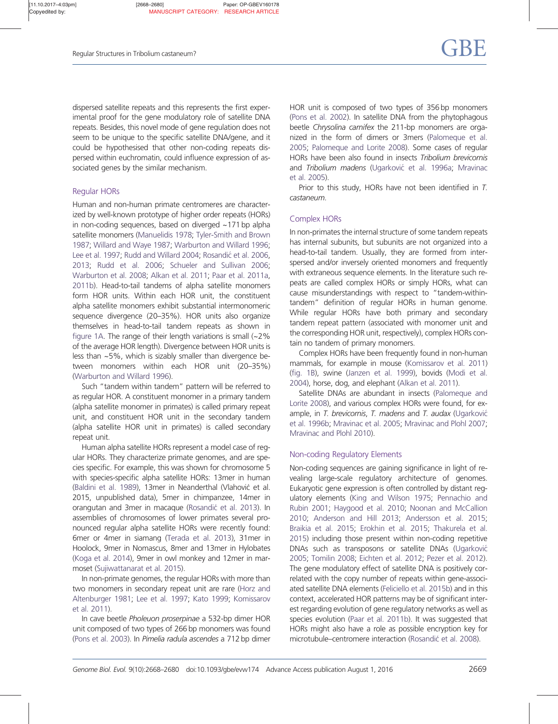dispersed satellite repeats and this represents the first experimental proof for the gene modulatory role of satellite DNA repeats. Besides, this novel mode of gene regulation does not seem to be unique to the specific satellite DNA/gene, and it could be hypothesised that other non-coding repeats dispersed within euchromatin, could influence expression of associated genes by the similar mechanism.

# Regular HORs

Human and non-human primate centromeres are characterized by well-known prototype of higher order repeats (HORs) in non-coding sequences, based on diverged ~171 bp alpha satellite monomers ([Manuelidis 1978;](#page-13-0) [Tyler-Smith and Brown](#page-13-0) [1987;](#page-13-0) [Willard and Waye 1987](#page-13-0); [Warburton and Willard 1996;](#page-13-0) [Lee et al. 1997](#page-13-0); [Rudd and Willard 2004](#page-13-0); Rosandić [et al. 2006,](#page-13-0) [2013;](#page-13-0) [Rudd et al. 2006;](#page-13-0) [Schueler and Sullivan 2006;](#page-13-0) [Warburton et al. 2008](#page-13-0); [Alkan et al. 2011;](#page-12-0) [Paar et al. 2011a,](#page-13-0) [2011b\)](#page-13-0). Head-to-tail tandems of alpha satellite monomers form HOR units. Within each HOR unit, the constituent alpha satellite monomers exhibit substantial intermonomeric sequence divergence (20–35%). HOR units also organize themselves in head-to-tail tandem repeats as shown in [figure 1A](#page-3-0). The range of their length variations is small (~2% of the average HOR length). Divergence between HOR units is less than ~5%, which is sizably smaller than divergence between monomers within each HOR unit (20–35%) [\(Warburton and Willard 1996\)](#page-13-0).

Such "tandem within tandem" pattern will be referred to as regular HOR. A constituent monomer in a primary tandem (alpha satellite monomer in primates) is called primary repeat unit, and constituent HOR unit in the secondary tandem (alpha satellite HOR unit in primates) is called secondary repeat unit.

Human alpha satellite HORs represent a model case of regular HORs. They characterize primate genomes, and are species specific. For example, this was shown for chromosome 5 with species-specific alpha satellite HORs: 13mer in human [\(Baldini et al. 1989](#page-12-0)), 13mer in Neanderthal (Vlahović et al. 2015, unpublished data), 5mer in chimpanzee, 14mer in orangutan and 3mer in macaque (Rosandić [et al. 2013\)](#page-13-0). In assemblies of chromosomes of lower primates several pronounced regular alpha satellite HORs were recently found: 6mer or 4mer in siamang ([Terada et al. 2013\)](#page-13-0), 31mer in Hoolock, 9mer in Nomascus, 8mer and 13mer in Hylobates [\(Koga et al. 2014](#page-13-0)), 9mer in owl monkey and 12mer in marmoset ([Sujiwattanarat et al. 2015](#page-13-0)).

In non-primate genomes, the regular HORs with more than two monomers in secondary repeat unit are rare [\(Horz and](#page-12-0) [Altenburger 1981;](#page-12-0) [Lee et al. 1997;](#page-13-0) [Kato 1999](#page-13-0); [Komissarov](#page-13-0) [et al. 2011\)](#page-13-0).

In cave beetle Pholeuon proserpinae a 532-bp dimer HOR unit composed of two types of 266 bp monomers was found [\(Pons et al. 2003](#page-13-0)). In Pimelia radula ascendes a 712 bp dimer HOR unit is composed of two types of 356 bp monomers ([Pons et al. 2002](#page-13-0)). In satellite DNA from the phytophagous beetle Chrysolina carnifex the 211-bp monomers are organized in the form of dimers or 3mers [\(Palomeque et al.](#page-13-0) [2005](#page-13-0); [Palomeque and Lorite 2008\)](#page-13-0). Some cases of regular HORs have been also found in insects Tribolium brevicornis and Tribolium madens (Ugarković [et al. 1996a;](#page-13-0) [Mravinac](#page-13-0) [et al. 2005](#page-13-0)).

Prior to this study, HORs have not been identified in T. castaneum.

## Complex HORs

In non-primates the internal structure of some tandem repeats has internal subunits, but subunits are not organized into a head-to-tail tandem. Usually, they are formed from interspersed and/or inversely oriented monomers and frequently with extraneous sequence elements. In the literature such repeats are called complex HORs or simply HORs, what can cause misunderstandings with respect to "tandem-withintandem" definition of regular HORs in human genome. While regular HORs have both primary and secondary tandem repeat pattern (associated with monomer unit and the corresponding HOR unit, respectively), complex HORs contain no tandem of primary monomers.

Complex HORs have been frequently found in non-human mammals, for example in mouse [\(Komissarov et al. 2011](#page-13-0)) ([fig. 1B](#page-3-0)), swine ([Janzen et al. 1999](#page-12-0)), bovids [\(Modi et al.](#page-13-0) [2004](#page-13-0)), horse, dog, and elephant [\(Alkan et al. 2011](#page-12-0)).

Satellite DNAs are abundant in insects ([Palomeque and](#page-13-0) [Lorite 2008\)](#page-13-0), and various complex HORs were found, for example, in T. brevicornis, T. madens and T. audax (Ugarković [et al. 1996b](#page-13-0); [Mravinac et al. 2005;](#page-13-0) [Mravinac and Plohl 2007](#page-13-0); [Mravinac and Plohl 2010\)](#page-13-0).

## Non-coding Regulatory Elements

Non-coding sequences are gaining significance in light of revealing large-scale regulatory architecture of genomes. Eukaryotic gene expression is often controlled by distant regulatory elements [\(King and Wilson 1975](#page-13-0); [Pennachio and](#page-13-0) [Rubin 2001;](#page-13-0) [Haygood et al. 2010;](#page-12-0) [Noonan and McCallion](#page-13-0) [2010](#page-13-0); [Anderson and Hill 2013](#page-12-0); [Andersson et al. 2015](#page-12-0); [Braikia et al. 2015;](#page-12-0) [Erokhin et al. 2015](#page-12-0); [Thakurela et al.](#page-13-0) [2015](#page-13-0)) including those present within non-coding repetitive DNAs such as transposons or satellite DNAs (Ugarković [2005](#page-13-0); [Tomilin 2008;](#page-13-0) [Eichten et al. 2012;](#page-12-0) [Pezer et al. 2012\)](#page-13-0). The gene modulatory effect of satellite DNA is positively correlated with the copy number of repeats within gene-associated satellite DNA elements [\(Feliciello et al. 2015b](#page-12-0)) and in this context, accelerated HOR patterns may be of significant interest regarding evolution of gene regulatory networks as well as species evolution [\(Paar et al. 2011b](#page-13-0)). It was suggested that HORs might also have a role as possible encryption key for microtubule–centromere interaction (Rosandić [et al. 2008\)](#page-13-0).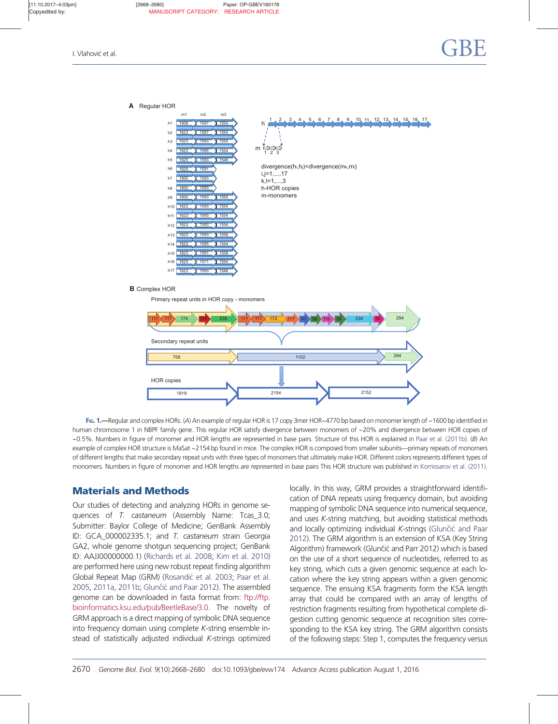<span id="page-3-0"></span>

Fig. 1.—Regular and complex HORs. (A) An example of regular HOR is 17 copy 3mer HOR~4770 bp based on monomer length of ~1600 bp identified in human chromosome 1 in NBPF family gene. This regular HOR satisfy divergence between monomers of ~20% and divergence between HOR copies of  $\sim$ 0.5%. Numbers in figure of monomer and HOR lengths are represented in base pairs. Structure of this HOR is explained in [Paar et al. \(2011b\)](#page-13-0). (B) An example of complex HOR structure is MaSat ~2154 bp found in mice. The complex HOR is composed from smaller subunits—primary repeats of monomers of different lengths that make secondary repeat units with three types of monomers that ultimately make HOR. Different colors represents different types of monomers. Numbers in figure of monomer and HOR lengths are represented in base pairs This HOR structure was published in [Komissarov et al. \(2011\).](#page-13-0)

1919 2154 2152

# Materials and Methods

Our studies of detecting and analyzing HORs in genome sequences of T. castaneum (Assembly Name: Tcas\_3.0; Submitter: Baylor College of Medicine; GenBank Assembly ID: GCA\_000002335.1; and T. castaneum strain Georgia GA2, whole genome shotgun sequencing project; GenBank ID: AAJJ00000000.1) [\(Richards et al. 2008;](#page-13-0) [Kim et al. 2010\)](#page-13-0) are performed here using new robust repeat finding algorithm Global Repeat Map (GRM) (Rosandić [et al. 2003;](#page-13-0) [Paar et al.](#page-13-0) [2005,](#page-13-0) [2011a](#page-13-0), [2011b](#page-13-0); Glunčić [and Paar 2012](#page-12-0)). The assembled genome can be downloaded in fasta format from: ftp://ftp. bioinformatics.ksu.edu/pub/BeetleBase/3.0. The novelty of GRM approach is a direct mapping of symbolic DNA sequence into frequency domain using complete K-string ensemble instead of statistically adjusted individual K-strings optimized locally. In this way, GRM provides a straightforward identification of DNA repeats using frequency domain, but avoiding mapping of symbolic DNA sequence into numerical sequence, and uses K-string matching, but avoiding statistical methods and locally optimizing individual  $K$ -strings (Glunčić [and Paar](#page-12-0) [2012](#page-12-0)). The GRM algorithm is an extension of KSA (Key String Algorithm) framework (Glunčić and Parr 2012) which is based on the use of a short sequence of nucleotides, referred to as key string, which cuts a given genomic sequence at each location where the key string appears within a given genomic sequence. The ensuing KSA fragments form the KSA length array that could be compared with an array of lengths of restriction fragments resulting from hypothetical complete digestion cutting genomic sequence at recognition sites corresponding to the KSA key string. The GRM algorithm consists of the following steps: Step 1, computes the frequency versus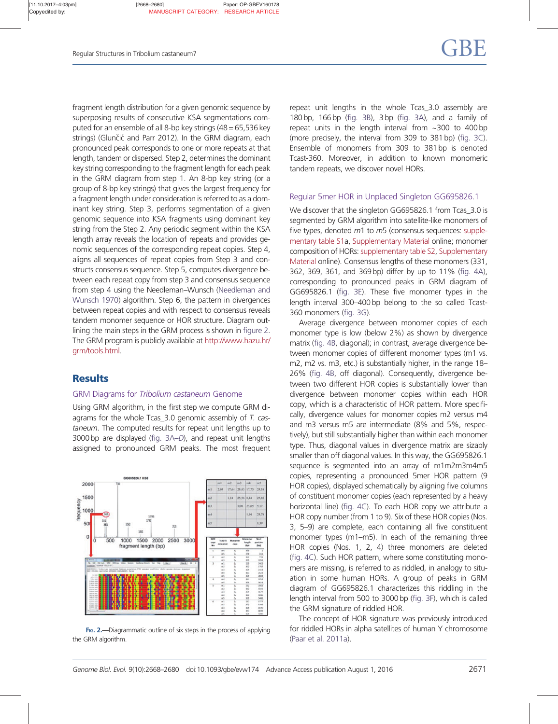fragment length distribution for a given genomic sequence by superposing results of consecutive KSA segmentations computed for an ensemble of all 8-bp key strings (48 = 65,536 key strings) (Glunčić and Parr 2012). In the GRM diagram, each pronounced peak corresponds to one or more repeats at that length, tandem or dispersed. Step 2, determines the dominant key string corresponding to the fragment length for each peak in the GRM diagram from step 1. An 8-bp key string (or a group of 8-bp key strings) that gives the largest frequency for a fragment length under consideration is referred to as a dominant key string. Step 3, performs segmentation of a given genomic sequence into KSA fragments using dominant key string from the Step 2. Any periodic segment within the KSA length array reveals the location of repeats and provides genomic sequences of the corresponding repeat copies. Step 4, aligns all sequences of repeat copies from Step 3 and constructs consensus sequence. Step 5, computes divergence between each repeat copy from step 3 and consensus sequence from step 4 using the Needleman–Wunsch [\(Needleman and](#page-13-0) [Wunsch 1970](#page-13-0)) algorithm. Step 6, the pattern in divergences between repeat copies and with respect to consensus reveals tandem monomer sequence or HOR structure. Diagram outlining the main steps in the GRM process is shown in figure 2. The GRM program is publicly available at http://www.hazu.hr/ grm/tools.html.

# **Results**

# GRM Diagrams for Tribolium castaneum Genome

Using GRM algorithm, in the first step we compute GRM diagrams for the whole Tcas\_3.0 genomic assembly of T. castaneum. The computed results for repeat unit lengths up to 3000 bp are displayed ([fig. 3A–](#page-5-0)D), and repeat unit lengths assigned to pronounced GRM peaks. The most frequent



FIG. 2.—Diagrammatic outline of six steps in the process of applying the GRM algorithm.

repeat unit lengths in the whole Tcas\_3.0 assembly are 180 bp, 166 bp [\(fig. 3B\)](#page-5-0), 3 bp [\(fig. 3A\)](#page-5-0), and a family of repeat units in the length interval from ~300 to 400 bp (more precisely, the interval from 309 to 381 bp) [\(fig. 3C\)](#page-5-0). Ensemble of monomers from 309 to 381 bp is denoted Tcast-360. Moreover, in addition to known monomeric tandem repeats, we discover novel HORs.

# Regular 5mer HOR in Unplaced Singleton GG695826.1

We discover that the singleton GG695826.1 from Tcas\_3.0 is segmented by GRM algorithm into satellite-like monomers of five types, denoted m1 to m5 (consensus sequences: supplementary table S1a, Supplementary Material online; monomer composition of HORs: supplementary table S2, Supplementary Material online). Consensus lengths of these monomers (331, 362, 369, 361, and 369 bp) differ by up to 11% [\(fig. 4A\)](#page-6-0), corresponding to pronounced peaks in GRM diagram of GG695826.1 [\(fig. 3E](#page-5-0)). These five monomer types in the length interval 300–400 bp belong to the so called Tcast-360 monomers [\(fig. 3G\)](#page-5-0).

Average divergence between monomer copies of each monomer type is low (below 2%) as shown by divergence matrix [\(fig. 4B,](#page-6-0) diagonal); in contrast, average divergence between monomer copies of different monomer types (m1 vs. m2, m2 vs. m3, etc.) is substantially higher, in the range 18– 26% [\(fig. 4B](#page-6-0), off diagonal). Consequently, divergence between two different HOR copies is substantially lower than divergence between monomer copies within each HOR copy, which is a characteristic of HOR pattern. More specifically, divergence values for monomer copies m2 versus m4 and m3 versus m5 are intermediate (8% and 5%, respectively), but still substantially higher than within each monomer type. Thus, diagonal values in divergence matrix are sizably smaller than off diagonal values. In this way, the GG695826.1 sequence is segmented into an array of m1m2m3m4m5 copies, representing a pronounced 5mer HOR pattern (9 HOR copies), displayed schematically by aligning five columns of constituent monomer copies (each represented by a heavy horizontal line) [\(fig. 4C\)](#page-6-0). To each HOR copy we attribute a HOR copy number (from 1 to 9). Six of these HOR copies (Nos. 3, 5–9) are complete, each containing all five constituent monomer types (m1–m5). In each of the remaining three HOR copies (Nos. 1, 2, 4) three monomers are deleted ([fig. 4C](#page-6-0)). Such HOR pattern, where some constituting monomers are missing, is referred to as riddled, in analogy to situation in some human HORs. A group of peaks in GRM diagram of GG695826.1 characterizes this riddling in the length interval from 500 to 3000 bp ([fig. 3F](#page-5-0)), which is called the GRM signature of riddled HOR.

The concept of HOR signature was previously introduced for riddled HORs in alpha satellites of human Y chromosome ([Paar et al. 2011a\)](#page-13-0).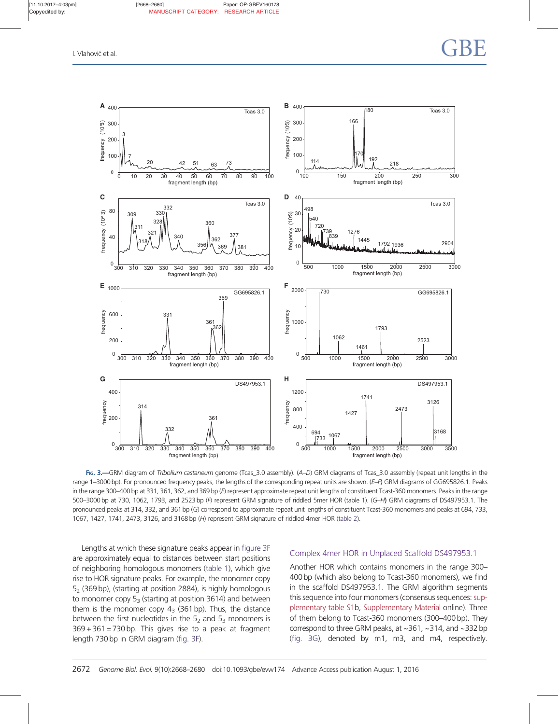<span id="page-5-0"></span>

FIG. 3.—GRM diagram of Tribolium castaneum genome (Tcas\_3.0 assembly). (A–D) GRM diagrams of Tcas\_3.0 assembly (repeat unit lengths in the range 1–3000 bp). For pronounced frequency peaks, the lengths of the corresponding repeat units are shown. (E–F) GRM diagrams of GG695826.1. Peaks in the range 300–400 bp at 331, 361, 362, and 369 bp (E) represent approximate repeat unit lengths of constituent Tcast-360 monomers. Peaks in the range 500–3000 bp at 730, 1062, 1793, and 2523bp (F) represent GRM signature of riddled 5mer HOR (table 1). (G–H) GRM diagrams of DS497953.1. The pronounced peaks at 314, 332, and 361bp (G) correspond to approximate repeat unit lengths of constituent Tcast-360 monomers and peaks at 694, 733, 1067, 1427, 1741, 2473, 3126, and 3168 bp (H) represent GRM signature of riddled 4mer HOR [\(table 2\)](#page-7-0).

Lengths at which these signature peaks appear in figure 3F are approximately equal to distances between start positions of neighboring homologous monomers [\(table 1](#page-6-0)), which give rise to HOR signature peaks. For example, the monomer copy  $5<sub>2</sub>$  (369 bp), (starting at position 2884), is highly homologous to monomer copy  $5<sub>3</sub>$  (starting at position 3614) and between them is the monomer copy  $4_3$  (361 bp). Thus, the distance between the first nucleotides in the  $5<sub>2</sub>$  and  $5<sub>3</sub>$  monomers is  $369 + 361 = 730$  bp. This gives rise to a peak at fragment length 730 bp in GRM diagram (fig. 3F).

# Complex 4mer HOR in Unplaced Scaffold DS497953.1

Another HOR which contains monomers in the range 300– 400 bp (which also belong to Tcast-360 monomers), we find in the scaffold DS497953.1. The GRM algorithm segments this sequence into four monomers (consensus sequences: supplementary table S1b, Supplementary Material online). Three of them belong to Tcast-360 monomers (300–400 bp). They correspond to three GRM peaks, at ~361, ~314, and ~332 bp (fig. 3G), denoted by m1, m3, and m4, respectively.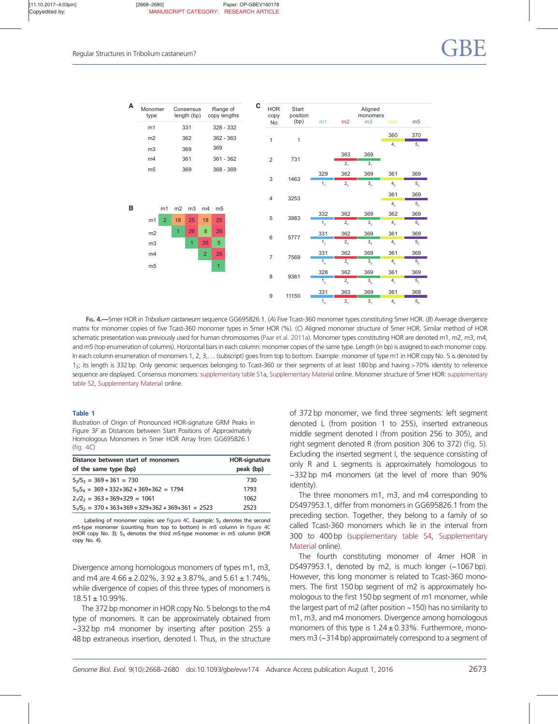<span id="page-6-0"></span>

| A | Monomer<br>type      |                | Consensus<br>length (bp) |                | Range of<br>copy lengths |  | C | <b>HOR</b><br>copy | Start<br>position | m1              | m2              | Aligned<br>monomers<br>m3 | m4              | m <sub>5</sub>                     |
|---|----------------------|----------------|--------------------------|----------------|--------------------------|--|---|--------------------|-------------------|-----------------|-----------------|---------------------------|-----------------|------------------------------------|
|   | m1                   |                | 331                      |                | 328 - 332                |  |   | No.                | (bp)              |                 |                 |                           |                 |                                    |
|   | m2                   |                | 362                      |                | 362 - 363                |  |   |                    |                   |                 |                 |                           | 360             | 370                                |
|   |                      |                |                          |                |                          |  |   | 1                  | 1                 |                 |                 |                           | 4,              | 5,                                 |
|   | m3                   |                | 369                      |                | 369                      |  |   |                    |                   |                 | 363             | 369                       |                 |                                    |
|   | m4                   |                | 361                      |                | $361 - 362$              |  |   | $\overline{2}$     | 731               |                 | $\overline{2,}$ | 3 <sub>1</sub>            |                 |                                    |
|   | m <sub>5</sub>       |                | 369                      |                | 368 - 369                |  |   |                    |                   |                 |                 |                           |                 |                                    |
|   |                      |                |                          |                |                          |  |   | 3                  | 1463              | 329             | 362             | 369                       | 361             | 369                                |
|   |                      |                |                          |                |                          |  |   |                    |                   | 1 <sub>1</sub>  | 2,              | 3,                        | $4\overline{2}$ | $5_{\tiny 2}$                      |
|   |                      |                |                          |                |                          |  |   | $\overline{4}$     | 3253              |                 |                 |                           | 361             | 369                                |
| B |                      |                |                          |                |                          |  |   |                    |                   |                 |                 |                           | 4 <sub>3</sub>  | 5 <sub>3</sub>                     |
|   | m1                   | m2             | m3                       | m4             | m <sub>5</sub>           |  |   |                    |                   | 332             | 362             | 369                       | 362             | 369                                |
|   | $\overline{2}$<br>m1 | 18             | 25                       | 18             | 25                       |  |   | 5                  | 3983              | 1 <sub>2</sub>  | $2_{3}$         | 3 <sub>3</sub>            | $4^{4}$         | ${\bf 5}_{{\scriptscriptstyle 4}}$ |
|   | m2                   | $\overline{1}$ | 26                       | 8              | 26                       |  |   | 6                  | 5777              | 331             | 362             | 369                       | 361             | 369                                |
|   | m3                   |                | $\overline{1}$           | 26             | 5                        |  |   |                    |                   | $1\overline{3}$ | 2 <sub>4</sub>  | 3 <sub>4</sub>            | 4 <sub>5</sub>  | 5 <sub>5</sub>                     |
|   | m4                   |                |                          | $\overline{2}$ | 26                       |  |   | $\overline{7}$     | 7569              | 331             | 362             | 369                       | 361             | 369                                |
|   | m <sub>5</sub>       |                |                          |                | $\overline{1}$           |  |   |                    |                   | $1_{4}$         | 2 <sub>5</sub>  | 3 <sub>5</sub>            | 4 <sub>6</sub>  | 5 <sub>6</sub>                     |
|   |                      |                |                          |                |                          |  |   | 8                  |                   | 328             | 362             | 369                       | 361             | 369                                |
|   |                      |                |                          |                |                          |  |   |                    | 9361              | 1 <sub>5</sub>  | 2 <sub>6</sub>  | 3 <sub>6</sub>            | 4,              | 5 <sub>7</sub>                     |
|   |                      |                |                          |                |                          |  |   | $\boldsymbol{9}$   | 11150             | 331             | 363             | 369                       | 361             | 368                                |
|   |                      |                |                          |                |                          |  |   |                    |                   | 1 <sub>6</sub>  | 2,              | 3,                        | $4_{\circ}$     | $5_{\rm s}$                        |

FIG. 4.—5mer HOR in Tribolium castaneum sequence GG695826.1. (A) Five Tcast-360 monomer types constituting 5mer HOR. (B) Average divergence matrix for monomer copies of five Tcast-360 monomer types in 5mer HOR (%). (C) Aligned monomer structure of 5mer HOR. Similar method of HOR schematic presentation was previously used for human chromosomes [\(Paar et al. 2011a](#page-13-0)). Monomer types constituting HOR are denoted m1, m2, m3, m4, and m5 (top enumeration of columns). Horizontal bars in each column: monomer copies of the same type. Length (in bp) is assigned to each monomer copy. In each column enumeration of monomers 1, 2, 3,... (subscript) goes from top to bottom. Example: monomer of type m1 in HOR copy No. 5 is denoted by 1<sub>2</sub>; its length is 332 bp. Only genomic sequences belonging to Tcast-360 or their segments of at least 180 bp and having >70% identity to reference sequence are displayed. Consensus monomers: supplementary table S1a, Supplementary Material online. Monomer structure of 5mer HOR: supplementary table S2, Supplementary Material online.

#### Table 1

Illustration of Origin of Pronounced HOR-signature GRM Peaks in Figure 3F as Distances between Start Positions of Approximately Homologous Monomers in 5mer HOR Array from GG695826.1 (fig. 4C)

| Distance between start of monomers                       | <b>HOR-signature</b> |  |  |
|----------------------------------------------------------|----------------------|--|--|
| of the same type (bp)                                    | peak (bp)            |  |  |
| $5\sqrt{5}$ <sub>3</sub> = 369 + 361 = 730               | 730                  |  |  |
| $5_35_4 = 369 + 332 + 362 + 369 + 362 = 1794$            | 1793                 |  |  |
| $2\sqrt{2}$ = 363 + 369+329 = 1061                       | 1062                 |  |  |
| $51/52 = 370 + 363 + 369 + 329 + 362 + 369 + 361 = 2523$ | 2523                 |  |  |

Labeling of monomer copies: see figure 4C. Example:  $5<sub>2</sub>$  denotes the second m5-type monomer (counting from top to bottom) in m5 column in figure 4C (HOR copy No. 3);  $5<sub>3</sub>$  denotes the third m5-type monomer in m5 column (HOR copy No. 4).

Divergence among homologous monomers of types m1, m3, and m4 are  $4.66 \pm 2.02\%$ ,  $3.92 \pm 3.87\%$ , and  $5.61 \pm 1.74\%$ , while divergence of copies of this three types of monomers is  $18.51 \pm 10.99\%$ .

The 372 bp monomer in HOR copy No. 5 belongs to the m4 type of monomers. It can be approximately obtained from ~332 bp m4 monomer by inserting after position 255 a 48 bp extraneous insertion, denoted I. Thus, in the structure of 372 bp monomer, we find three segments: left segment denoted L (from position 1 to 255), inserted extraneous middle segment denoted I (from position 256 to 305), and right segment denoted R (from position 306 to 372) [\(fig. 5\)](#page-7-0). Excluding the inserted segment I, the sequence consisting of only R and L segments is approximately homologous to ~332 bp m4 monomers (at the level of more than 90% identity).

The three monomers m1, m3, and m4 corresponding to DS497953.1, differ from monomers in GG695826.1 from the preceding section. Together, they belong to a family of so called Tcast-360 monomers which lie in the interval from 300 to 400 bp (supplementary table S4, Supplementary Material online).

The fourth constituting monomer of 4mer HOR in DS497953.1, denoted by m2, is much longer (~1067 bp). However, this long monomer is related to Tcast-360 monomers. The first 150 bp segment of m2 is approximately homologous to the first 150 bp segment of m1 monomer, while the largest part of m2 (after position  $\sim$  150) has no similarity to m1, m3, and m4 monomers. Divergence among homologous monomers of this type is  $1.24 \pm 0.33$ %. Furthermore, monomers m3 (~314 bp) approximately correspond to a segment of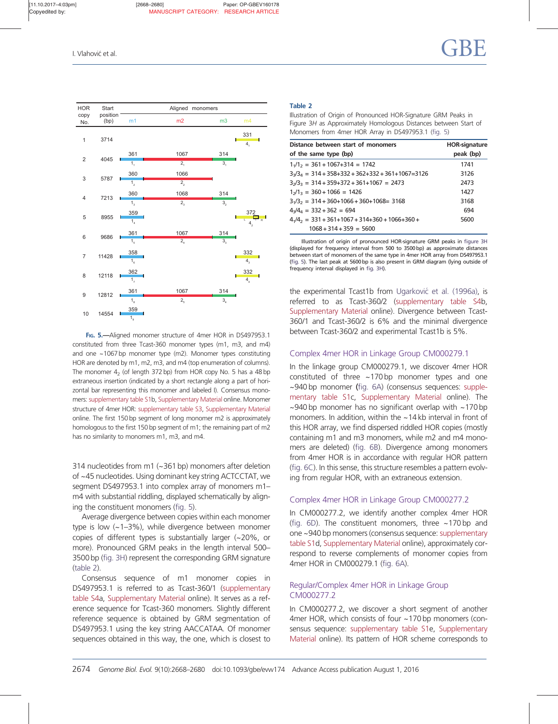<span id="page-7-0"></span>

FIG. 5.-Aligned monomer structure of 4mer HOR in DS497953.1 constituted from three Tcast-360 monomer types (m1, m3, and m4) and one  $\sim$  1067 bp monomer type (m2). Monomer types constituting HOR are denoted by m1, m2, m3, and m4 (top enumeration of columns). The monomer  $4<sub>2</sub>$  (of length 372 bp) from HOR copy No. 5 has a 48 bp extraneous insertion (indicated by a short rectangle along a part of horizontal bar representing this monomer and labeled I). Consensus monomers: supplementary table S1b, Supplementary Material online. Monomer structure of 4mer HOR: supplementary table S3, Supplementary Material online. The first 150 bp segment of long monomer m2 is approximately homologous to the first 150 bp segment of m1; the remaining part of m2 has no similarity to monomers m1, m3, and m4.

314 nucleotides from m1 (~361 bp) monomers after deletion of ~45 nucleotides. Using dominant key string ACTCCTAT, we segment DS497953.1 into complex array of monomers m1– m4 with substantial riddling, displayed schematically by aligning the constituent monomers (fig. 5).

Average divergence between copies within each monomer type is low (~1–3%), while divergence between monomer copies of different types is substantially larger (~20%, or more). Pronounced GRM peaks in the length interval 500– 3500 bp [\(fig. 3H](#page-5-0)) represent the corresponding GRM signature (table 2).

Consensus sequence of m1 monomer copies in DS497953.1 is referred to as Tcast-360/1 (supplementary table S4a, Supplementary Material online). It serves as a reference sequence for Tcast-360 monomers. Slightly different reference sequence is obtained by GRM segmentation of DS497953.1 using the key string AACCATAA. Of monomer sequences obtained in this way, the one, which is closest to

#### Table 2

Illustration of Origin of Pronounced HOR-Signature GRM Peaks in Figure 3H as Approximately Homologous Distances between Start of Monomers from 4mer HOR Array in DS497953.1 (fig. 5)

| Distance between start of monomers                               | <b>HOR-signature</b> |  |
|------------------------------------------------------------------|----------------------|--|
| of the same type (bp)                                            | peak (bp)            |  |
| $11/12 = 361 + 1067 + 314 = 1742$                                | 1741                 |  |
| $3\sqrt{3}_4$ = 314 + 358+332 + 362+332 + 361+1067=3126          | 3126                 |  |
| $3\sqrt{3}$ <sub>3</sub> = $314 + 359 + 372 + 361 + 1067 = 2473$ | 2473                 |  |
| $12/13 = 360 + 1066 = 1426$                                      | 1427                 |  |
| $31/32 = 314 + 360 + 1066 + 360 + 1068 = 3168$                   | 3168                 |  |
| $4\sqrt{4_4}$ = 332 + 362 = 694                                  | 694                  |  |
| $4\frac{1}{4} = 331 + 361 + 1067 + 314 + 360 + 1066 + 360 +$     | 5600                 |  |
| $1068 + 314 + 359 = 5600$                                        |                      |  |

Illustration of origin of pronounced HOR-signature GRM peaks in [figure 3H](#page-5-0) (displayed for frequency interval from 500 to 3500 bp) as approximate distances between start of monomers of the same type in 4mer HOR array from DS497953.1 (fig. 5). The last peak at 5600 bp is also present in GRM diagram (lying outside of frequency interval displayed in [fig. 3H](#page-5-0)).

the experimental Tcast1b from Ugarković [et al. \(1996a\),](#page-13-0) is referred to as Tcast-360/2 (supplementary table S4b, Supplementary Material online). Divergence between Tcast-360/1 and Tcast-360/2 is 6% and the minimal divergence between Tcast-360/2 and experimental Tcast1b is 5%.

### Complex 4mer HOR in Linkage Group CM000279.1

In the linkage group CM000279.1, we discover 4mer HOR constituted of three ~170 bp monomer types and one ~940 bp monomer ([fig. 6A](#page-8-0)) (consensus sequences: supplementary table S1c, Supplementary Material online). The  $\sim$ 940 bp monomer has no significant overlap with  $\sim$ 170 bp monomers. In addition, within the ~14 kb interval in front of this HOR array, we find dispersed riddled HOR copies (mostly containing m1 and m3 monomers, while m2 and m4 monomers are deleted) [\(fig. 6B](#page-8-0)). Divergence among monomers from 4mer HOR is in accordance with regular HOR pattern ([fig. 6C](#page-8-0)). In this sense, this structure resembles a pattern evolving from regular HOR, with an extraneous extension.

#### Complex 4mer HOR in Linkage Group CM000277.2

In CM000277.2, we identify another complex 4mer HOR (fig.  $6D$ ). The constituent monomers, three  $\sim$ 170 bp and one ~940 bp monomers (consensus sequence: supplementary table S1d, Supplementary Material online), approximately correspond to reverse complements of monomer copies from 4mer HOR in CM000279.1 [\(fig. 6A](#page-8-0)).

## Regular/Complex 4mer HOR in Linkage Group CM000277.2

In CM000277.2, we discover a short segment of another 4mer HOR, which consists of four ~170 bp monomers (consensus sequence: supplementary table S1e, Supplementary Material online). Its pattern of HOR scheme corresponds to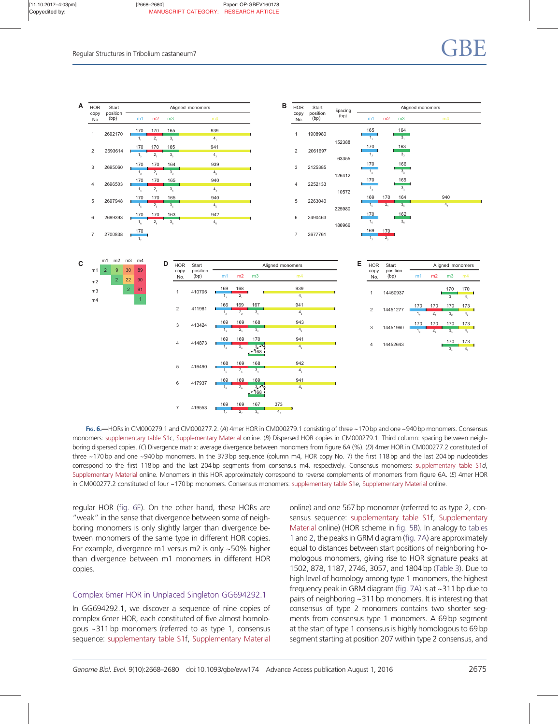<span id="page-8-0"></span>

FIG. 6.—HORs in CM000279.1 and CM000277.2. (A) 4mer HOR in CM000279.1 consisting of three ~170 bp and one ~940 bp monomers. Consensus monomers: supplementary table S1c, Supplementary Material online. (B) Dispersed HOR copies in CM000279.1. Third column: spacing between neighboring dispersed copies. (C) Divergence matrix: average divergence between monomers from figure 6A (%). (D) 4mer HOR in CM000277.2 constituted of three ~170 bp and one ~940 bp monomers. In the 373 bp sequence (column m4, HOR copy No. 7) the first 118 bp and the last 204 bp nucleotides correspond to the first 118bp and the last 204bp segments from consensus m4, respectively. Consensus monomers: supplementary table S1d, Supplementary Material online. Monomers in this HOR approximately correspond to reverse complements of monomers from figure 6A. (E) 4mer HOR in CM000277.2 constituted of four ~170 bp monomers. Consensus monomers: supplementary table S1e, Supplementary Material online.

regular HOR (fig. 6E). On the other hand, these HORs are "weak" in the sense that divergence between some of neighboring monomers is only slightly larger than divergence between monomers of the same type in different HOR copies. For example, divergence m1 versus m2 is only ~50% higher than divergence between m1 monomers in different HOR copies.

## Complex 6mer HOR in Unplaced Singleton GG694292.1

In GG694292.1, we discover a sequence of nine copies of complex 6mer HOR, each constituted of five almost homologous ~311 bp monomers (referred to as type 1, consensus sequence: supplementary table S1f, Supplementary Material online) and one 567 bp monomer (referred to as type 2, consensus sequence: supplementary table S1f, Supplementary Material online) (HOR scheme in [fig. 5B\)](#page-7-0). In analogy to [tables](#page-6-0) [1](#page-6-0) and [2,](#page-7-0) the peaks in GRM diagram [\(fig. 7A](#page-9-0)) are approximately equal to distances between start positions of neighboring homologous monomers, giving rise to HOR signature peaks at 1502, 878, 1187, 2746, 3057, and 1804 bp [\(Table 3](#page-10-0)). Due to high level of homology among type 1 monomers, the highest frequency peak in GRM diagram ([fig. 7A\)](#page-9-0) is at ~311 bp due to pairs of neighboring ~311 bp monomers. It is interesting that consensus of type 2 monomers contains two shorter segments from consensus type 1 monomers. A 69 bp segment at the start of type 1 consensus is highly homologous to 69 bp segment starting at position 207 within type 2 consensus, and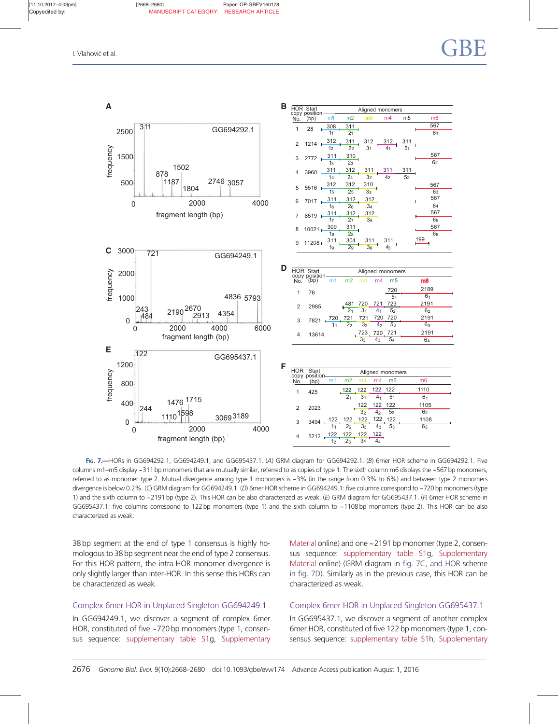<span id="page-9-0"></span>

FIG. 7. - HORs in GG694292.1, GG694249.1, and GG695437.1. (A) GRM diagram for GG694292.1. (B) 6mer HOR scheme in GG694292.1. Five columns m1–m5 display ~311 bp monomers that are mutually similar, referred to as copies of type 1. The sixth column m6 displays the ~567 bp monomers, referred to as monomer type 2. Mutual divergence among type 1 monomers is  $\sim$ 3% (in the range from 0.3% to 6%) and between type 2 monomers divergence is below 0.2%. (C) GRM diagram for GG694249.1. (D) 6mer HOR scheme in GG694249.1: five columns correspond to ~720 bp monomers (type 1) and the sixth column to ~2191 bp (type 2). This HOR can be also characterized as weak. (E) GRM diagram for GG695437.1. (F) 6mer HOR scheme in GG695437.1: five columns correspond to 122bp monomers (type 1) and the sixth column to ~1108 bp monomers (type 2). This HOR can be also characterized as weak.

38 bp segment at the end of type 1 consensus is highly homologous to 38 bp segment near the end of type 2 consensus. For this HOR pattern, the intra-HOR monomer divergence is only slightly larger than inter-HOR. In this sense this HORs can be characterized as weak.

## Complex 6mer HOR in Unplaced Singleton GG694249.1

In GG694249.1, we discover a segment of complex 6mer HOR, constituted of five ~720 bp monomers (type 1, consensus sequence: supplementary table S1g, Supplementary Material online) and one ~2191 bp monomer (type 2, consensus sequence: supplementary table S1g, Supplementary Material online) (GRM diagram in fig. 7C, and HOR scheme in fig. 7D). Similarly as in the previous case, this HOR can be characterized as weak.

## Complex 6mer HOR in Unplaced Singleton GG695437.1

In GG695437.1, we discover a segment of another complex 6mer HOR, constituted of five 122 bp monomers (type 1, consensus sequence: supplementary table S1h, Supplementary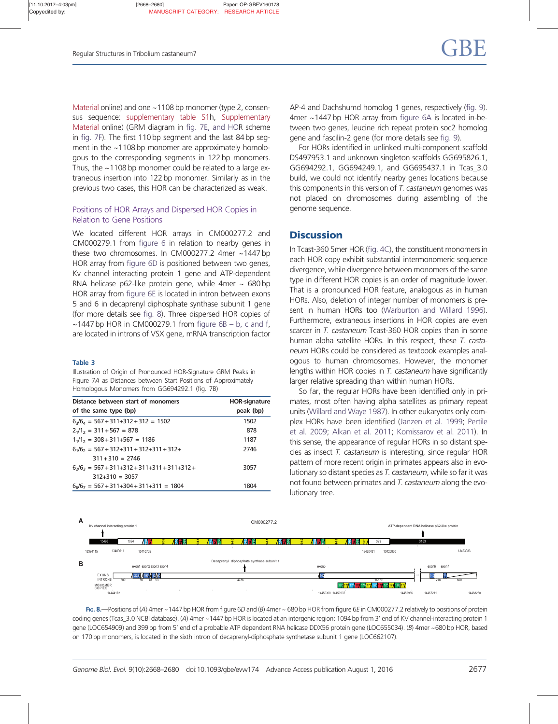<span id="page-10-0"></span>Material online) and one ~1108 bp monomer (type 2, consensus sequence: supplementary table S1h, Supplementary Material online) (GRM diagram in [fig. 7E, and HO](#page-9-0)R scheme in [fig. 7F\)](#page-9-0). The first 110 bp segment and the last 84 bp segment in the ~1108 bp monomer are approximately homologous to the corresponding segments in 122 bp monomers. Thus, the ~1108 bp monomer could be related to a large extraneous insertion into 122 bp monomer. Similarly as in the previous two cases, this HOR can be characterized as weak.

## Positions of HOR Arrays and Dispersed HOR Copies in Relation to Gene Positions

We located different HOR arrays in CM000277.2 and CM000279.1 from [figure 6](#page-8-0) in relation to nearby genes in these two chromosomes. In CM000277.2 4mer ~1447 bp HOR array from [figure 6D](#page-8-0) is positioned between two genes, Kv channel interacting protein 1 gene and ATP-dependent RNA helicase p62-like protein gene, while 4mer  $\sim$  680 bp HOR array from [figure 6E](#page-8-0) is located in intron between exons 5 and 6 in decaprenyl diphosphate synthase subunit 1 gene (for more details see fig. 8). Three dispersed HOR copies of  $\sim$ 1447 bp HOR in CM000279.1 from [figure 6B – b, c and f,](#page-8-0) are located in introns of VSX gene, mRNA transcription factor

#### Table 3

Illustration of Origin of Pronounced HOR-Signature GRM Peaks in Figure 7A as Distances between Start Positions of Approximately Homologous Monomers from GG694292.1 (fig. 7B)

| Distance between start of monomers                    | <b>HOR-signature</b> |
|-------------------------------------------------------|----------------------|
| of the same type (bp)                                 | peak (bp)            |
| $6\sqrt{6_4}$ = 567 + 311+312 + 312 = 1502            | 1502                 |
| $21/12 = 311 + 567 = 878$                             | 878                  |
| $11/12 = 308 + 311 + 567 = 1186$                      | 1187                 |
| $61/6$ <sub>2</sub> = 567 + 312+311 + 312+311 + 312+  | 2746                 |
| $311 + 310 = 2746$                                    |                      |
| $6\frac{1}{26}$ = 567 + 311+312 + 311+311 + 311+312 + | 3057                 |
| $312+310 = 3057$                                      |                      |
| $6\epsilon/6_7 = 567 + 311 + 304 + 311 + 311 = 1804$  | 1804                 |

AP-4 and Dachshumd homolog 1 genes, respectively [\(fig. 9\)](#page-11-0). 4mer ~1447 bp HOR array from [figure 6A](#page-8-0) is located in-between two genes, leucine rich repeat protein soc2 homolog gene and fascilin-2 gene (for more details see [fig. 9](#page-11-0)).

For HORs identified in unlinked multi-component scaffold DS497953.1 and unknown singleton scaffolds GG695826.1, GG694292.1, GG694249.1, and GG695437.1 in Tcas\_3.0 build, we could not identify nearby genes locations because this components in this version of T. castaneum genomes was not placed on chromosomes during assembling of the genome sequence.

# **Discussion**

In Tcast-360 5mer HOR [\(fig. 4C\)](#page-6-0), the constituent monomers in each HOR copy exhibit substantial intermonomeric sequence divergence, while divergence between monomers of the same type in different HOR copies is an order of magnitude lower. That is a pronounced HOR feature, analogous as in human HORs. Also, deletion of integer number of monomers is present in human HORs too [\(Warburton and Willard 1996\)](#page-13-0). Furthermore, extraneous insertions in HOR copies are even scarcer in T. castaneum Tcast-360 HOR copies than in some human alpha satellite HORs. In this respect, these T. castaneum HORs could be considered as textbook examples analogous to human chromosomes. However, the monomer lengths within HOR copies in T. castaneum have significantly larger relative spreading than within human HORs.

So far, the regular HORs have been identified only in primates, most often having alpha satellites as primary repeat units [\(Willard and Waye 1987](#page-13-0)). In other eukaryotes only complex HORs have been identified [\(Janzen et al. 1999](#page-12-0); [Pertile](#page-13-0) [et al. 2009;](#page-13-0) [Alkan et al. 2011](#page-12-0); [Komissarov et al. 2011\)](#page-13-0). In this sense, the appearance of regular HORs in so distant species as insect T. castaneum is interesting, since regular HOR pattern of more recent origin in primates appears also in evolutionary so distant species as T. castaneum, while so far it was not found between primates and T. castaneum along the evolutionary tree.



FIG. 8.—Positions of (A) 4mer ~1447 bp HOR from figure 6D and (B) 4mer ~ 680 bp HOR from figure 6E in CM000277.2 relatively to positions of protein coding genes (Tcas\_3.0 NCBI database). (A) 4mer ~1447 bp HOR is located at an intergenic region: 1094 bp from 3' end of KV channel-interacting protein 1 gene (LOC654909) and 399bp from 5' end of a probable ATP dependent RNA helicase DDX56 protein gene (LOC655034). (B) 4mer ~680 bp HOR, based on 170 bp monomers, is located in the sixth intron of decaprenyl-diphosphate synthetase subunit 1 gene (LOC662107).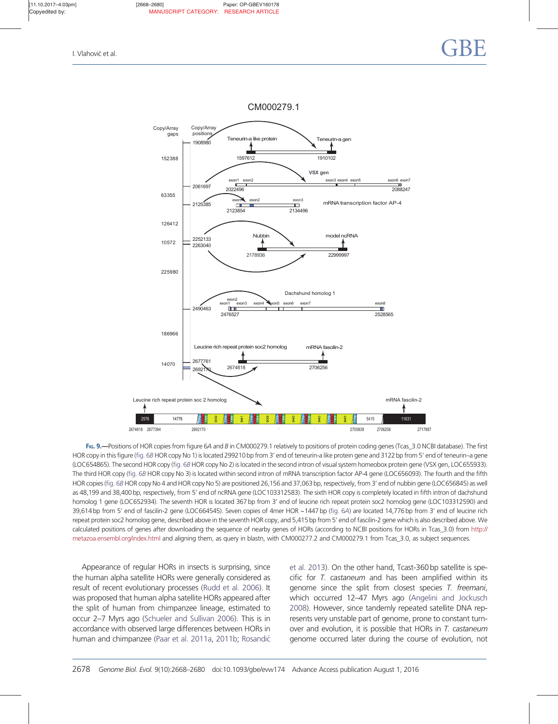CM000279.1

<span id="page-11-0"></span>

FIG. 9.—Positions of HOR copies from figure 6A and B in CM000279.1 relatively to positions of protein coding genes (Tcas\_3.0 NCBI database). The first HOR copy in this figure [\(fig. 6](#page-8-0)B HOR copy No 1) is located 299210 bp from 3' end of teneurin-a like protein gene and 3122 bp from 5' end of teneurin–a gene (LOC654865). The second HOR copy ([fig. 6](#page-8-0)B HOR copy No 2) is located in the second intron of visual system homeobox protein gene (VSX gen, LOC655933). The third HOR copy [\(fig. 6](#page-8-0)B HOR copy No 3) is located within second intron of mRNA transcription factor AP-4 gene (LOC656093). The fourth and the fifth HOR copies ([fig. 6](#page-8-0)B HOR copy No 4 and HOR copy No 5) are positioned 26,156 and 37,063 bp, respectively, from 3' end of nubbin gene (LOC656845) as well as 48,199 and 38,400 bp, respectively, from 5' end of ncRNA gene (LOC103312583). The sixth HOR copy is completely located in fifth intron of dachshund homolog 1 gene (LOC652934). The seventh HOR is located 367 bp from 3' end of leucine rich repeat protein soc2 homolog gene (LOC103312590) and 39,614 bp from 5' end of fascilin-2 gene (LOC664545). Seven copies of 4mer HOR ~1447 bp [\(fig. 6](#page-8-0)A) are located 14,776 bp from 3' end of leucine rich repeat protein soc2 homolog gene, described above in the seventh HOR copy, and 5,415 bp from 5' end of fascilin-2 gene which is also described above. We calculated positions of genes after downloading the sequence of nearby genes of HORs (according to NCBI positions for HORs in Tcas\_3.0) from http:// metazoa.ensembl.org/index.html and aligning them, as query in blastn, with CM000277.2 and CM000279.1 from Tcas\_3.0, as subject sequences.

Appearance of regular HORs in insects is surprising, since the human alpha satellite HORs were generally considered as result of recent evolutionary processes [\(Rudd et al. 2006](#page-13-0)). It was proposed that human alpha satellite HORs appeared after the split of human from chimpanzee lineage, estimated to occur 2–7 Myrs ago ([Schueler and Sullivan 2006](#page-13-0)). This is in accordance with observed large differences between HORs in human and chimpanzee [\(Paar et al. 2011a](#page-13-0), [2011b;](#page-13-0) Rosandić [et al. 2013](#page-13-0)). On the other hand, Tcast-360 bp satellite is specific for T. castaneum and has been amplified within its genome since the split from closest species T. freemani, which occurred 12–47 Myrs ago ([Angelini and Jockusch](#page-12-0) [2008](#page-12-0)). However, since tandemly repeated satellite DNA represents very unstable part of genome, prone to constant turnover and evolution, it is possible that HORs in T. castaneum genome occurred later during the course of evolution, not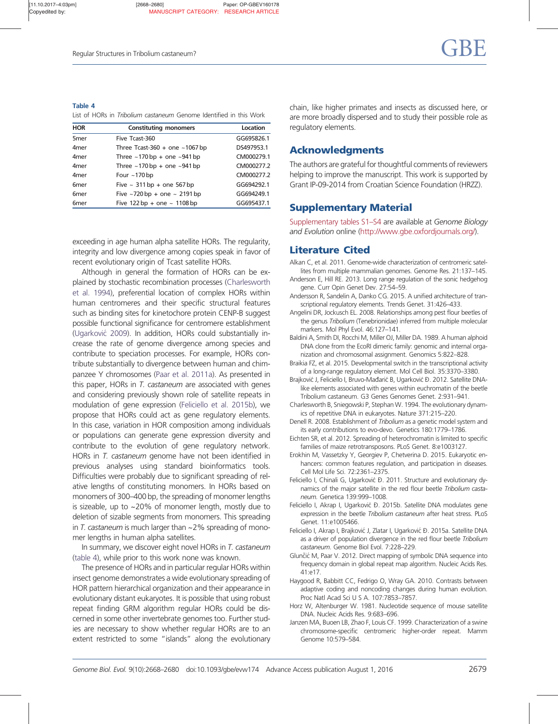<span id="page-12-0"></span>Table 4 List of HORs in Tribolium castaneum Genome Identified in this Work

| <b>HOR</b>       | <b>Constituting monomers</b>            | Location   |
|------------------|-----------------------------------------|------------|
| 5 <sub>mer</sub> | Five Tcast-360                          | GG695826.1 |
| 4 <sub>mer</sub> | Three Tcast-360 + one $\sim$ 1067 bp    | DS497953.1 |
| 4 <sub>mer</sub> | Three $\sim$ 170 bp + one $\sim$ 941 bp | CM000279.1 |
| 4 <sub>mer</sub> | Three $\sim$ 170 bp + one $\sim$ 941 bp | CM000277.2 |
| 4 <sub>mer</sub> | Four $\sim$ 170 bp                      | CM000277.2 |
| 6 <sub>mer</sub> | Five $\sim$ 311 bp + one 567 bp         | GG694292.1 |
| 6 <sub>mer</sub> | Five $\sim$ 720 bp + one $\sim$ 2191 bp | GG694249.1 |
| 6 <sub>mer</sub> | Five 122 bp + one $\sim 1108$ bp        | GG695437.1 |

exceeding in age human alpha satellite HORs. The regularity, integrity and low divergence among copies speak in favor of recent evolutionary origin of Tcast satellite HORs.

Although in general the formation of HORs can be explained by stochastic recombination processes (Charlesworth et al. 1994), preferential location of complex HORs within human centromeres and their specific structural features such as binding sites for kinetochore protein CENP-B suggest possible functional significance for centromere establishment [\(Ugarkovic´](#page-13-0) 2009). In addition, HORs could substantially increase the rate of genome divergence among species and contribute to speciation processes. For example, HORs contribute substantially to divergence between human and chimpanzee Y chromosomes [\(Paar et al. 2011a](#page-13-0)). As presented in this paper, HORs in T. castaneum are associated with genes and considering previously shown role of satellite repeats in modulation of gene expression (Feliciello et al. 2015b), we propose that HORs could act as gene regulatory elements. In this case, variation in HOR composition among individuals or populations can generate gene expression diversity and contribute to the evolution of gene regulatory network. HORs in T. castaneum genome have not been identified in previous analyses using standard bioinformatics tools. Difficulties were probably due to significant spreading of relative lengths of constituting monomers. In HORs based on monomers of 300–400 bp, the spreading of monomer lengths is sizeable, up to ~20% of monomer length, mostly due to deletion of sizable segments from monomers. This spreading in  $T$ . castaneum is much larger than  $\sim$  2% spreading of monomer lengths in human alpha satellites.

In summary, we discover eight novel HORs in T. castaneum (table 4), while prior to this work none was known.

The presence of HORs and in particular regular HORs within insect genome demonstrates a wide evolutionary spreading of HOR pattern hierarchical organization and their appearance in evolutionary distant eukaryotes. It is possible that using robust repeat finding GRM algorithm regular HORs could be discerned in some other invertebrate genomes too. Further studies are necessary to show whether regular HORs are to an extent restricted to some "islands" along the evolutionary chain, like higher primates and insects as discussed here, or are more broadly dispersed and to study their possible role as regulatory elements.

# Acknowledgments

The authors are grateful for thoughtful comments of reviewers helping to improve the manuscript. This work is supported by Grant IP-09-2014 from Croatian Science Foundation (HRZZ).

# Supplementary Material

Supplementary tables S1–S4 are available at Genome Biology and Evolution online (http://www.gbe.oxfordjournals.org/).

# Literature Cited

- Alkan C, et al. 2011. Genome-wide characterization of centromeric satellites from multiple mammalian genomes. Genome Res. 21:137–145.
- Anderson E, Hill RE. 2013. Long range regulation of the sonic hedgehog gene. Curr Opin Genet Dev. 27:54–59.
- Andersson R, Sandelin A, Danko CG. 2015. A unified architecture of transcriptional regulatory elements. Trends Genet. 31:426–433.
- Angelini DR, Jockusch EL. 2008. Relationships among pest flour beetles of the genus Tribolium (Tenebrionidae) inferred from multiple molecular markers. Mol Phyl Evol. 46:127–141.
- Baldini A, Smith DI, Rocchi M, Miller OJ, Miller DA. 1989. A human alphoid DNA clone from the EcoRI dimeric family: genomic and internal organization and chromosomal assignment. Genomics 5:822–828.
- Braikia FZ, et al. 2015. Developmental switch in the transcriptional activity of a long-range regulatory element. Mol Cell Biol. 35:3370–3380.
- Brajković J, Feliciello I, Bruvo-Mađarić B, Ugarković D. 2012. Satellite DNAlike elements associated with genes within euchromatin of the beetle Tribolium castaneum. G3 Genes Genomes Genet. 2:931–941.
- Charlesworth B, Sniegowski P, Stephan W. 1994. The evolutionary dynamics of repetitive DNA in eukaryotes. Nature 371:215–220.
- Denell R. 2008. Establishment of Tribolium as a genetic model system and its early contributions to evo-devo. Genetics 180:1779–1786.
- Eichten SR, et al. 2012. Spreading of heterochromatin is limited to specific families of maize retrotransposons. PLoS Genet. 8:e1003127.
- Erokhin M, Vassetzky Y, Georgiev P, Chetverina D. 2015. Eukaryotic enhancers: common features regulation, and participation in diseases. Cell Mol Life Sci. 72:2361–2375.
- Feliciello I, Chinali G, Ugarković D. 2011. Structure and evolutionary dynamics of the major satellite in the red flour beetle Tribolium castaneum. Genetica 139:999–1008.
- Feliciello I, Akrap I, Ugarković D. 2015b. Satellite DNA modulates gene expression in the beetle Tribolium castaneum after heat stress. PLoS Genet. 11:e1005466.
- Feliciello I, Akrap I, Brajković J, Zlatar I, Ugarković D. 2015a. Satellite DNA as a driver of population divergence in the red flour beetle Tribolium castaneum. Genome Biol Evol. 7:228–229.
- Glunčić M, Paar V. 2012. Direct mapping of symbolic DNA sequence into frequency domain in global repeat map algorithm. Nucleic Acids Res. 41:e17.
- Haygood R, Babbitt CC, Fedrigo O, Wray GA. 2010. Contrasts between adaptive coding and noncoding changes during human evolution. Proc Natl Acad Sci U S A. 107:7853–7857.
- Horz W, Altenburger W. 1981. Nucleotide sequence of mouse satellite DNA. Nucleic Acids Res. 9:683–696.
- Janzen MA, Buoen LB, Zhao F, Louis CF. 1999. Characterization of a swine chromosome-specific centromeric higher-order repeat. Mamm Genome 10:579–584.